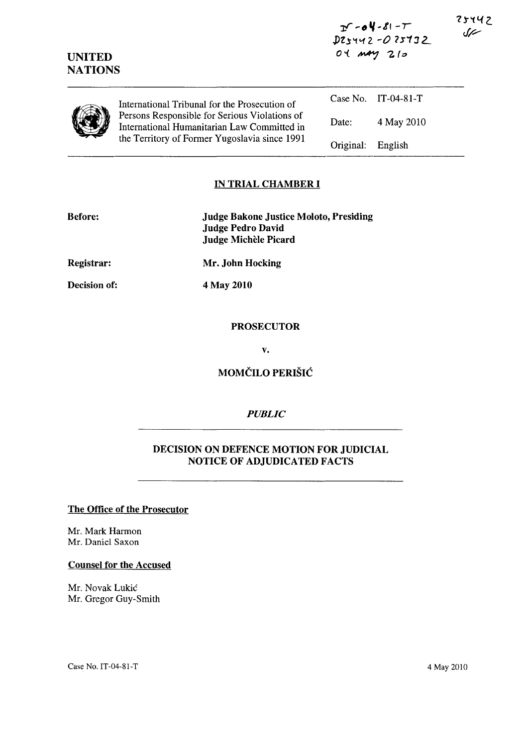$26 - 64 - 81 - T$ *,JYl,S'1'12. ...* 0 ?s'13 L.  $04$  may  $210$ 

| <b>UNITED</b><br><b>NATIONS</b> |                                                                                                                                               | $04$ may $210$ |                       |
|---------------------------------|-----------------------------------------------------------------------------------------------------------------------------------------------|----------------|-----------------------|
|                                 | International Tribunal for the Prosecution of                                                                                                 |                | Case No. $IT-04-81-T$ |
|                                 | Persons Responsible for Serious Violations of<br>International Humanitarian Law Committed in<br>the Territory of Former Yugoslavia since 1991 | Date:          | 4 May 2010            |
|                                 |                                                                                                                                               | Original:      | English               |

## IN TRIAL CHAMBER I

| <b>Before:</b>      | <b>Judge Bakone Justice Moloto, Presiding</b><br><b>Judge Pedro David</b><br><b>Judge Michèle Picard</b> |
|---------------------|----------------------------------------------------------------------------------------------------------|
| <b>Registrar:</b>   | Mr. John Hocking                                                                                         |
| <b>Decision of:</b> | 4 May 2010                                                                                               |
|                     |                                                                                                          |

# PROSECUTOR

v.

# MOMČILO PERIŠIĆ

#### *PUBLIC*

## DECISION ON DEFENCE MOTION FOR JUDICIAL NOTICE OF ADJUDICATED FACTS

## The Office of the Prosecutor

Mr. Mark Harmon Mr. Daniel Saxon

### Counsel for the Accused

Mr. Novak Lukic Mr. Gregor Guy-Smith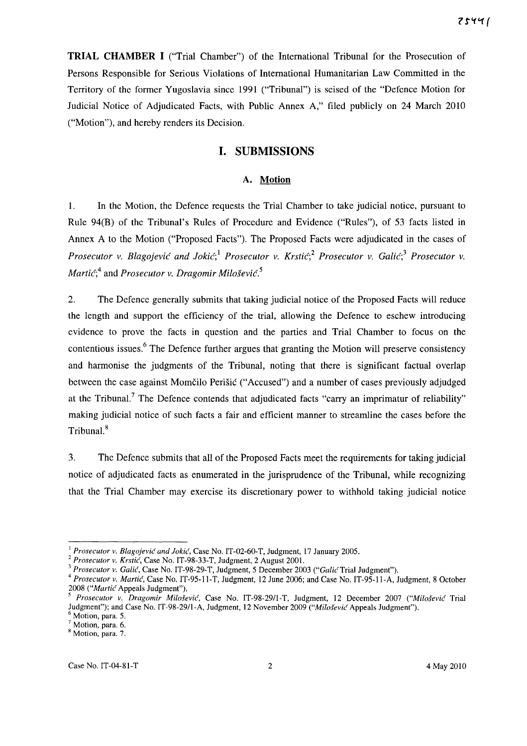**TRIAL CHAMBER I** ("Trial Chamber") of the International Tribunal for the Prosecution of Persons Responsible for Serious Violations of International Humanitarian Law Committed in the Territory of the former Yugoslavia since 1991 ("Tribunal") is seised of the "Defence Motion for Judicial Notice of Adjudicated Facts, with Public Annex A," filed publicly on 24 March 2010 ("Motion"), and hereby renders its Decision.

## **I. SUBMISSIONS**

#### **A. Motion**

1. In the Motion, the Defence requests the Trial Chamber to take judicial notice, pursuant to Rule 94(B) of the Tribunal's Rules of Procedure and Evidence ("Rules"), of 53 facts listed in Annex A to the Motion ("Proposed Facts"). The Proposed Facts were adjudicated in the cases of *Prosecutor v. Blagojević and Jokić*;<sup>1</sup> *Prosecutor v. Krstić*;<sup>2</sup> *Prosecutor v. Galić*;<sup>3</sup> *Prosecutor v. Martic;4* and *Prosecutor v. Dragomir Milosevic. <sup>5</sup>*

2. The Defence generally submits that taking judicial notice of the Proposed Facts will reduce the length and support the efficiency of the trial, allowing the Defence to eschew introducing evidence to prove the facts in question and the parties and Trial Chamber to focus on the contentious issues.<sup>6</sup> The Defence further argues that granting the Motion will preserve consistency and harmonise the judgments of the Tribunal, noting that there is significant factual overlap between the case against Momčilo Perišić ("Accused") and a number of cases previously adjudged at the Tribunal.? The Defence contends that adjudicated facts "carry an imprimatur of reliability" making judicial notice of such facts a fair and efficient manner to streamline the cases before the Tribunal. 8

3. The Defence submits that all of the Proposed Facts meet the requirements for taking judicial notice of adjudicated facts as enumerated in the jurisprudence of the Tribunal, while recognizing that the Trial Chamber may exercise its discretionary power to withhold taking judicial notice

<sup>&</sup>lt;sup>1</sup> Prosecutor v. Blagojević and Jokić, Case No. IT-02-60-T, Judgment, 17 January 2005.

<sup>2</sup>*Prosecutor v. Krstic,* Case No. IT-9S-33-T, JUdgment, 2 August 2001.

<sup>&</sup>lt;sup>3</sup> Prosecutor v. Galić, Case No. IT-98-29-T, Judgment, 5 December 2003 ("Galić Trial Judgment").

*<sup>4</sup> Prosecutor v. Martic,* Case No. IT-95-11-T, Judgment, 12 June 2006; and Case No. IT-95-11-A, Judgment, S October 200S *("Martic* Appeals Judgment").

*<sup>5</sup> Prosecutor v. Dragomir Milosevic,* Case No. IT-9S-2911-T, Judgment, 12 December 2007 *("Milosevic* Trial Judgment"); and Case No. IT-9S-29/1-A, Judgment, 12 November 2009 *("Milosevic* Appeals Judgment").

<sup>&</sup>lt;sup>6</sup> Motion, para. 5.

 $7$  Motion, para. 6. <sup>8</sup> Motion, para. 7.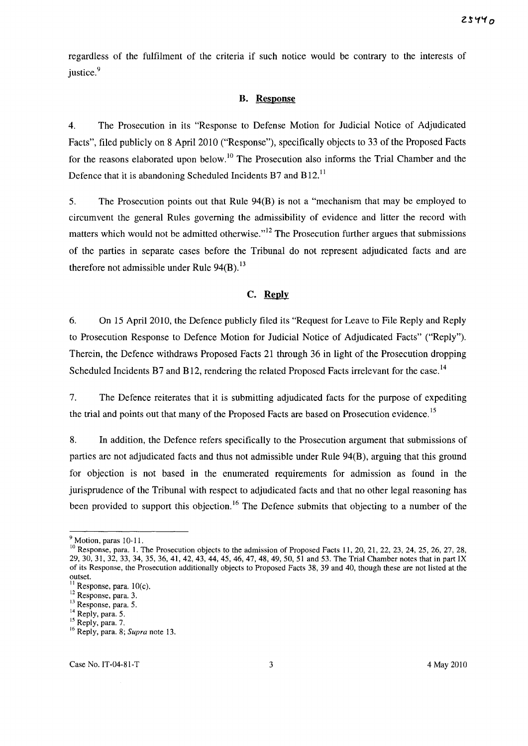regardless of the fulfilment of the criteria if such notice would be contrary to the interests of justice.<sup>9</sup>

#### B. Response

4. The Prosecution in its "Response to Defense Motion for Judicial Notice of Adjudicated Facts", filed publicly on 8 April 2010 ("Response"), specifically objects to 33 of the Proposed Facts for the reasons elaborated upon below.<sup>10</sup> The Prosecution also informs the Trial Chamber and the Defence that it is abandoning Scheduled Incidents B7 and B12.<sup>11</sup>

5. The Prosecution points out that Rule 94(B) is not a "mechanism that may be employed to circumvent the general Rules governing the admissibility of evidence and litter the record with matters which would not be admitted otherwise. $n^{12}$  The Prosecution further argues that submissions of the parties in separate cases before the Tribunal do not represent adjudicated facts and are therefore not admissible under Rule  $94(B)$ .<sup>13</sup>

## **c. Reply**

6. On 15 April 2010, the Defence publicly filed its "Request for Leave to File Reply and Reply to Prosecution Response to Defence Motion for Judicial Notice of Adjudicated Facts" ("Reply"). Therein, the Defence withdraws Proposed Facts 21 through 36 in light of the Prosecution dropping Scheduled Incidents B7 and B12, rendering the related Proposed Facts irrelevant for the case.<sup>14</sup>

7. The Defence reiterates that it is submitting adjudicated facts for the purpose of expediting the trial and points out that many of the Proposed Facts are based on Prosecution evidence.<sup>15</sup>

8. In addition, the Defence refers specifically to the Prosecution argument that submissions of parties are not adjudicated facts and thus not admissible under Rule 94(B), arguing that this ground for objection is not based in the enumerated requirements for admission as found in the jurisprudence of the Tribunal with respect to adjudicated facts and that no other legal reasoning has been provided to support this objection.<sup>16</sup> The Defence submits that objecting to a number of the

<sup>&</sup>lt;sup>9</sup> Motion, paras 10-11.

<sup>&</sup>lt;sup>10</sup> Response, para. 1. The Prosecution objects to the admission of Proposed Facts 11, 20, 21, 22, 23, 24, 25, 26, 27, 28, 29, 30,31,32, 33, 34, 35, 36, 41, 42, 43, 44, 45,46,47,48,49,50,51 and 53. The Trial Chamber notes that in part IX of its Response, the Prosecution additionally objects to Proposed Facts 38, 39 and 40, though these are not listed at the  $\overline{\text{outset}}$ .

Response, para. 10(c).

<sup>&</sup>lt;sup>12</sup> Response, para. 3.

<sup>&</sup>lt;sup>13</sup> Response, para. 5.

<sup>&</sup>lt;sup>14</sup> Reply, para. 5.

<sup>&</sup>lt;sup>15</sup> Reply, para. 7.

<sup>&</sup>lt;sup>16</sup> Reply, para. 8; *Supra* note 13.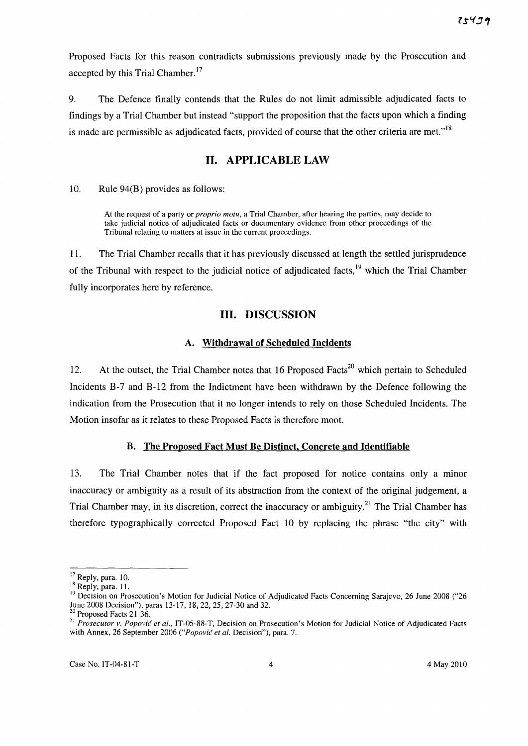Proposed Facts for this reason contradicts submissions previously made by the Prosecution and accepted by this Trial Chamber.<sup>17</sup>

9. The Defence finally contends that the Rules do not limit admissible adjudicated facts to findings by a Trial Chamber but instead "support the proposition that the facts upon which a finding is made are permissible as adjudicated facts, provided of course that the other criteria are met."<sup>18</sup>

## **11. APPLICABLE LAW**

10. Rule 94(B) provides as follows:

At the request of a party or *proprio motu,* a Trial Chamber, after hearing the parties, may decide to take judicial notice of adjudicated facts or documentary evidence from other proceedings of the Tribunal relating to matters at issue in the current proceedings.

11. The Trial Chamber recalls that it has previously discussed at length the settled jurisprudence of the Tribunal with respect to the judicial notice of adjudicated facts,<sup>19</sup> which the Trial Chamber fully incorporates here by reference.

## **Ill. DISCUSSION**

#### **A. Withdrawal of Scheduled Incidents**

12. At the outset, the Trial Chamber notes that 16 Proposed Facts<sup>20</sup> which pertain to Scheduled Incidents B-7 and B-12 from the Indictment have been withdrawn by the Defence following the indication from the Prosecution that it no longer intends to rely on those Scheduled Incidents. The Motion insofar as it relates to these Proposed Facts is therefore moot.

## **B. The Proposed Fact Must Be Distinct. Concrete and Identifiable**

13. The Trial Chamber notes that if the fact proposed for notice contains only a minor inaccuracy or ambiguity as a result of its abstraction from the context of the original judgement, a Trial Chamber may, in its discretion, correct the inaccuracy or ambiguity.<sup>21</sup> The Trial Chamber has therefore typographically corrected Proposed Fact 10 by replacing the phrase "the city" with

<sup>&</sup>lt;sup>17</sup> Reply, para. 10.

 $18$  Reply, para. 11.

<sup>&</sup>lt;sup>19</sup> Decision on Prosecution's Motion for Judicial Notice of Adjudicated Facts Concerning Sarajevo, 26 June 2008 ("26 June 200S Decision"), paras 13-17, IS, 22, 25, 27-30 and 32.

<sup>&</sup>lt;sup>20</sup> Proposed Facts 21-36.

<sup>&</sup>lt;sup>21</sup> Prosecutor v. Popović et al., IT-05-88-T, Decision on Prosecution's Motion for Judicial Notice of Adjudicated Facts with Annex, 26 September 2006 *("Popovic et at.* Decision"), para. 7.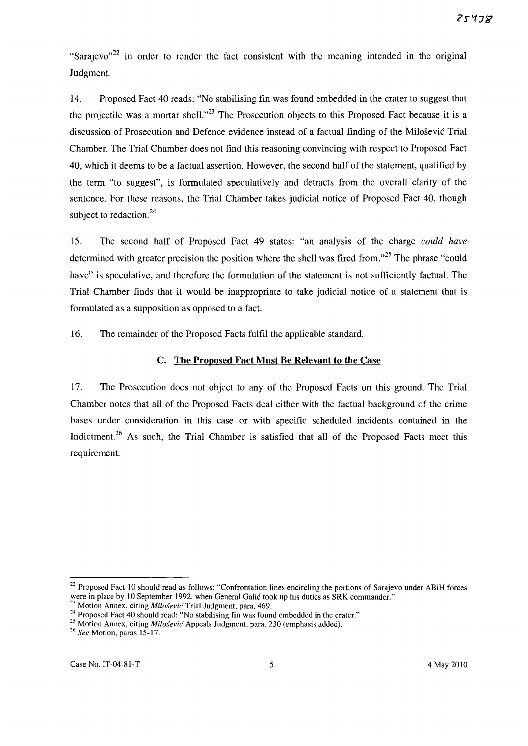"Sarajevo"<sup>22</sup> in order to render the fact consistent with the meaning intended in the original Judgment.

14. Proposed Fact 40 reads: "No stabilising fin was found embedded in the crater to suggest that the projectile was a mortar shell. $n^{23}$  The Prosecution objects to this Proposed Fact because it is a discussion of Prosecution and Defence evidence instead of a factual finding of the Milosevic Trial Chamber. The Trial Chamber does not find this reasoning convincing with respect to Proposed Fact 40, which it deems to be a factual assertion. However, the second half of the statement, qualified by the term "to suggest", is formulated speculatively and detracts from the overall clarity of the sentence. For these reasons, the Trial Chamber takes judicial notice of Proposed Fact 40, though subject to redaction. $24$ 

15. The second half of Proposed Fact 49 states: "an analysis of the charge *could have*  determined with greater precision the position where the shell was fired from."<sup>25</sup> The phrase "could have" is speculative, and therefore the formulation of the statement is not sufficiently factual. The Trial Chamber finds that it would be inappropriate to take judicial notice of a statement that is formulated as a supposition as opposed to a fact.

16. The remainder of the Proposed Facts fulfil the applicable standard.

### C. The Proposed Fact Must Be Relevant to the Case

17. The Prosecution does not object to any of the Proposed Facts on this ground. The Trial Chamber notes that all of the Proposed Facts deal either with the factual background of the crime bases under consideration in this case or with specific scheduled incidents contained in the Indictment.<sup>26</sup> As such, the Trial Chamber is satisfied that all of the Proposed Facts meet this requirement.

<sup>&</sup>lt;sup>22</sup> Proposed Fact 10 should read as follows: "Confrontation lines encircling the portions of Sarajevo under ABiH forces were in place by 10 September 1992, when General Galic took up his duties as SRK commander."

<sup>23</sup> Motion Annex, citing *Milosevic* Trial Judgment, para. 469.

<sup>&</sup>lt;sup>24</sup> Proposed Fact 40 should read: "No stabilising fin was found embedded in the crater."

<sup>&</sup>lt;sup>25</sup> Motion Annex, citing *Milošević* Appeals Judgment, para. 230 (emphasis added).

*<sup>26</sup> See* Motion, paras 15-17.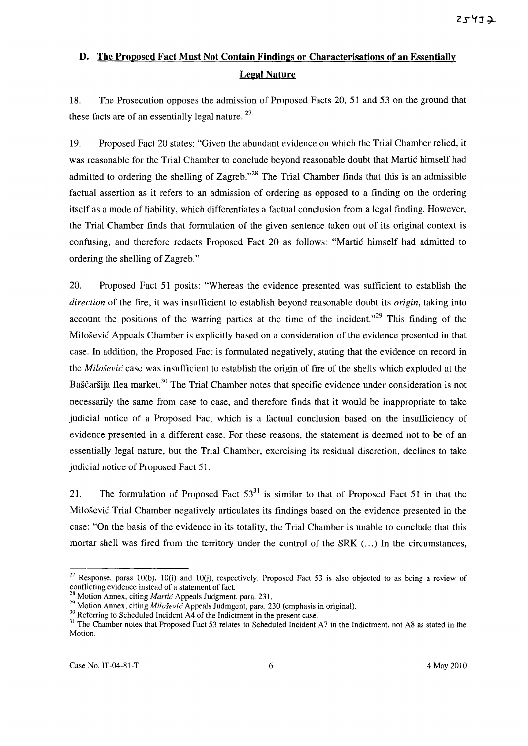# D. The Proposed Fact Must Not Contain Findings or Characterisations of an Essentially Legal Nature

18. The Prosecution opposes the admission of Proposed Facts 20, 51 and 53 on the ground that these facts are of an essentially legal nature.<sup>27</sup>

19. Proposed Fact 20 states: "Given the abundant evidence on which the Trial Chamber relied, it was reasonable for the Trial Chamber to conclude beyond reasonable doubt that Martic himself had admitted to ordering the shelling of Zagreb."<sup>28</sup> The Trial Chamber finds that this is an admissible factual assertion as it refers to an admission of ordering as opposed to a finding on the ordering itself as a mode of liability, which differentiates a factual conclusion from a legal finding. However, the Trial Chamber finds that formulation of the given sentence taken out of its original context is confusing, and therefore redacts Proposed Fact 20 as follows: "Martic himself had admitted to ordering the shelling of Zagreb."

20. Proposed Fact 51 posits: "Whereas the evidence presented was sufficient to establish the *direction* of the fire, it was insufficient to establish beyond reasonable doubt its *origin,* taking into account the positions of the warring parties at the time of the incident.<sup> $29$ </sup> This finding of the Milosevic Appeals Chamber is explicitly based on a consideration of the evidence presented in that case. In addition, the Proposed Fact is formulated negatively, stating that the evidence on record in the *Milosevic* case was insufficient to establish the origin of fire of the shells which exploded at the Baščaršija flea market.<sup>30</sup> The Trial Chamber notes that specific evidence under consideration is not necessarily the same from case to case, and therefore finds that it would be inappropriate to take judicial notice of a Proposed Fact which is a factual conclusion based on the insufficiency of evidence presented in a different case. For these reasons, the statement is deemed not to be of an essentially legal nature, but the Trial Chamber, exercising its residual discretion, declines to take judicial notice of Proposed Fact 51.

21. The formulation of Proposed Fact  $53<sup>31</sup>$  is similar to that of Proposed Fact 51 in that the Milosevic Trial Chamber negatively articulates its findings based on the evidence presented in the case: "On the basis of the evidence in its totality, the Trial Chamber is unable to conclude that this mortar shell was fired from the territory under the control of the  $SRK$   $\dots$ ) In the circumstances,

<sup>&</sup>lt;sup>27</sup> Response, paras 10(b), 10(i) and 10(j), respectively. Proposed Fact 53 is also objected to as being a review of conflicting evidence instead of a statement of fact.

<sup>28</sup> Motion Annex, citing *Martic* Appeals Judgment, para. 231.

<sup>&</sup>lt;sup>29</sup> Motion Annex, citing *Miloševic* Appeals Judmgent, para. 230 (emphasis in original).

<sup>&</sup>lt;sup>30</sup> Referring to Scheduled Incident A4 of the Indictment in the present case.

<sup>&</sup>lt;sup>31</sup> The Chamber notes that Proposed Fact 53 relates to Scheduled Incident A7 in the Indictment, not A8 as stated in the Motion.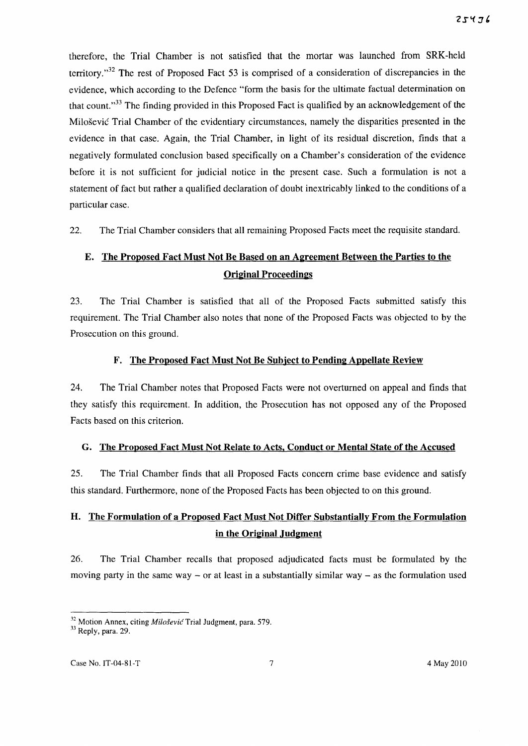therefore, the Trial Chamber is not satisfied that the mortar was launched from SRK-held territory. $132$  The rest of Proposed Fact 53 is comprised of a consideration of discrepancies in the evidence, which according to the Defence "form the basis for the ultimate factual determination on that count."<sup>33</sup> The finding provided in this Proposed Fact is qualified by an acknowledgement of the Milosevic Trial Chamber of the evidentiary circumstances, namely the disparities presented in the evidence in that case. Again, the Trial Chamber, in light of its residual discretion, finds that a negatively formulated conclusion based specifically on a Chamber's consideration of the evidence before it is not sufficient for judicial notice in the present case. Such a formulation is not a statement of fact but rather a qualified declaration of doubt inextricably linked to the conditions of a particular case.

22. The Trial Chamber considers that all remaining Proposed Facts meet the requisite standard.

# E. The Proposed Fact Must Not Be Based on an Agreement Between the Parties to the Original Proceedings

23. The Trial Chamber is satisfied that all of the Proposed Facts submitted satisfy this requirement. The Trial Chamber also notes that none of the Proposed Facts was objected to by the Prosecution on this ground.

### F. The Proposed Fact Must Not Be Subject to Pending Appellate Review

24. The Trial Chamber notes that Proposed Facts were not overturned on appeal and finds that they satisfy this requirement. In addition, the Prosecution has not opposed any of the Proposed Facts based on this criterion.

#### G. The Proposed Fact Must Not Relate to Acts, Conduct or Mental State of the Accused

25. The Trial Chamber finds that all Proposed Facts concern crime base evidence and satisfy this standard. Furthermore, none of the Proposed Facts has been objected to on this ground.

# H. The Formulation of a Proposed Fact Must Not Differ Substantially From the Formulation in the Original Judgment

26. The Trial Chamber recalls that proposed adjudicated facts must be formulated by the moving party in the same way – or at least in a substantially similar way – as the formulation used

 $32$  Motion Annex, citing *Milošević* Trial Judgment, para. 579.

<sup>33</sup> Reply, para. 29.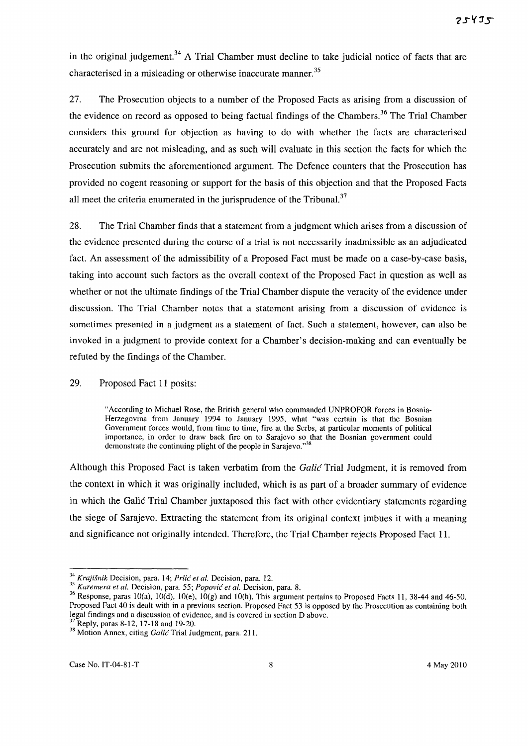in the original judgement.<sup>34</sup> A Trial Chamber must decline to take judicial notice of facts that are characterised in a misleading or otherwise inaccurate manner.<sup>35</sup>

27. The Prosecution objects to a number of the Proposed Facts as arising from a discussion of the evidence on record as opposed to being factual findings of the Chambers. 36 The Trial Chamber considers this ground for objection as having to do with whether the facts are characterised accurately and are not misleading, and as such will evaluate in this section the facts for which the Prosecution submits the aforementioned argument. The Defence counters that the Prosecution has provided no cogent reasoning or support for the basis of this objection and that the Proposed Facts all meet the criteria enumerated in the jurisprudence of the Tribunal.<sup>37</sup>

28. The Trial Chamber finds that a statement from a judgment which arises from a discussion of the evidence presented during the course of a trial is not necessarily inadmissible as an adjudicated fact. An assessment of the admissibility of a Proposed Fact must be made on a case-by-case basis, taking into account such factors as the overall context of the Proposed Fact in question as well as whether or not the ultimate findings of the Trial Chamber dispute the veracity of the evidence under discussion. The Trial Chamber notes that a statement arising from a discussion of evidence is sometimes presented in a judgment as a statement of fact. Such a statement, however, can also be invoked in a judgment to provide context for a Chamber's decision-making and can eventually be refuted by the findings of the Chamber.

### 29. Proposed Fact 11 posits:

"According to Michael Rose, the British general who commanded UNPROFOR forces in Bosnia-Herzegovina from January 1994 to January 1995, what "was certain is that the Bosnian Government forces would, from time to time, fire at the Serbs, at particular moments of political importance, in order to draw back fire on to Sarajevo so that the Bosnian government could demonstrate the continuing plight of the people in Sarajevo."<sup>38</sup>

Although this Proposed Fact is taken verbatim from the *Galić* Trial Judgment, it is removed from the context in which it was originally included, which is as part of a broader summary of evidence in which the Galic Trial Chamber juxtaposed this fact with other evidentiary statements regarding the siege of Sarajevo. Extracting the statement from its original context imbues it with a meaning and significance not originally intended. Therefore, the Trial Chamber rejects Proposed Fact 11.

<sup>&</sup>lt;sup>34</sup> Krajišnik Decision, para. 14; *Prlić et al.* Decision, para. 12.

*<sup>35</sup> Karemera et al.* Decision, para. 55; *Popovic et al.* Decision, para. 8.

 $36$  Response, paras 10(a), 10(d), 10(e), 10(g) and 10(h). This argument pertains to Proposed Facts 11, 38-44 and 46-50. Proposed Fact 40 is dealt with in a previous section. Proposed Fact 53 is opposed by the Prosecution as containing both legal findings and a discussion of evidence, and is covered in section D above.

<sup>37</sup> Reply, paras 8-12,17-18 and 19-20.

<sup>38</sup> Motion Annex, citing *Galic* Trial Judgment, para. 211.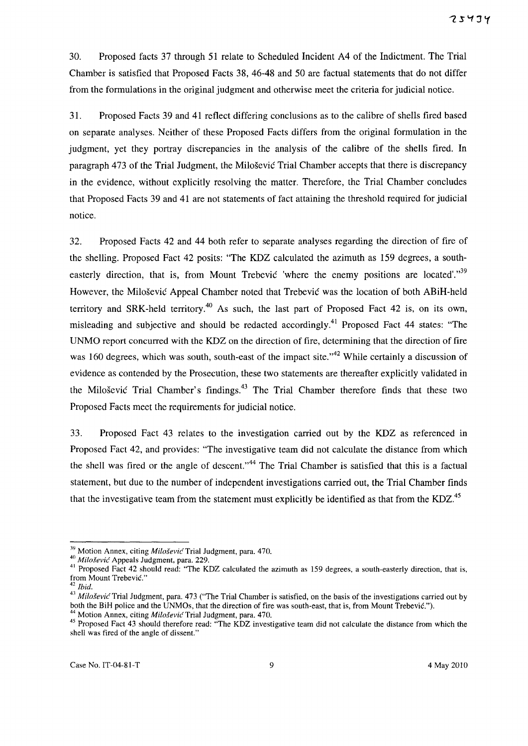30. Proposed facts 37 through 51 relate to Scheduled Incident A4 of the Indictment. The Trial Chamber is satisfied that Proposed Facts 38, 46-48 and 50 are factual statements that do not differ from the formulations in the original judgment and otherwise meet the criteria for judicial notice.

31. Proposed Facts 39 and 41 reflect differing conclusions as to the calibre of shells fired based on separate analyses. Neither of these Proposed Facts differs from the original formulation in the judgment, yet they portray discrepancies in the analysis of the calibre of the shells fired. In paragraph 473 of the Trial Judgment, the Milosevic Trial Chamber accepts that there is discrepancy in the evidence, without explicitly resolving the matter. Therefore, the Trial Chamber concludes that Proposed Facts 39 and 41 are not statements of fact attaining the threshold required for judicial notice.

32. Proposed Facts 42 and 44 both refer to separate analyses regarding the direction of fire of the shelling. Proposed Fact 42 posits: "The KDZ calculated the azimuth as 159 degrees, a southeasterly direction, that is, from Mount Trebevic 'where the enemy positions are located'."<sup>39</sup> However, the Milosevic Appeal Chamber noted that Trebevic was the location of both ABiH-held territory and SRK-held territory.<sup>40</sup> As such, the last part of Proposed Fact 42 is, on its own, misleading and subjective and should be redacted accordingly.<sup>41</sup> Proposed Fact 44 states: "The UNMO report concurred with the KDZ on the direction of fire, determining that the direction of fire was 160 degrees, which was south, south-east of the impact site."<sup>42</sup> While certainly a discussion of evidence as contended by the Prosecution, these two statements are thereafter explicitly validated in the Milošević Trial Chamber's findings.<sup>43</sup> The Trial Chamber therefore finds that these two Proposed Facts meet the requirements for judicial notice.

33. Proposed Fact 43 relates to the investigation carried out by the KDZ as referenced in Proposed Fact 42, and provides: "The investigative team did not calculate the distance from which the shell was fired or the angle of descent."<sup>44</sup> The Trial Chamber is satisfied that this is a factual statement, but due to the number of independent investigations carried out, the Trial Chamber finds that the investigative team from the statement must explicitly be identified as that from the KDZ.<sup>45</sup>

<sup>&</sup>lt;sup>39</sup> Motion Annex, citing *Milošević* Trial Judgment, para. 470.

*<sup>40</sup> Milosevic'* Appeals Judgment, para. 229.

<sup>&</sup>lt;sup>41</sup> Proposed Fact 42 should read: "The KDZ calculated the azimuth as 159 degrees, a south-easterly direction, that is, from Mount Trebevic."

*hid.* 

*<sup>43</sup> Milosevic* Trial Judgment, para. 473 ("The Trial Chamber is satisfied, on the basis of the investigations carried out by both the BiH police and the UNMOs, that the direction of fire was south-east, that is, from Mount Trebevic.").

<sup>44</sup> Motion Annex, citing *Milosevic* Trial Judgment, para. 470.

<sup>&</sup>lt;sup>45</sup> Proposed Fact 43 should therefore read: "The KDZ investigative team did not calculate the distance from which the shell was fired of the angle of dissent."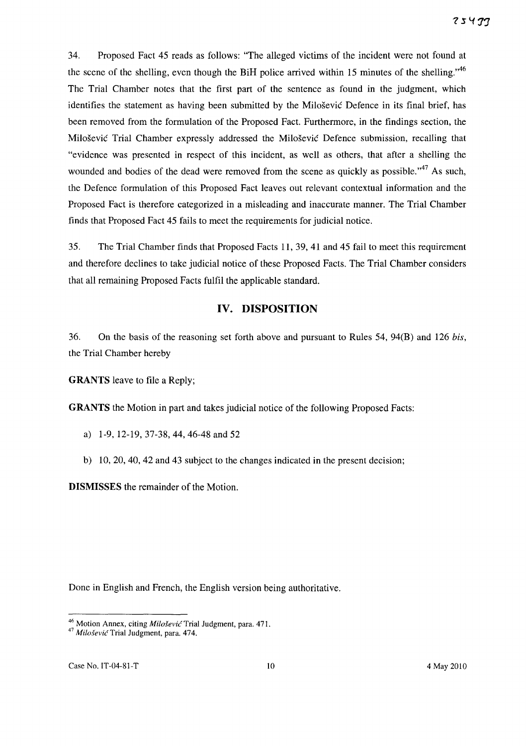34. Proposed Fact 45 reads as follows: "The alleged victims of the incident were not found at the scene of the shelling, even though the BiH police arrived within 15 minutes of the shelling.<sup> $,46$ </sup> The Trial Chamber notes that the first part of the sentence as found in the judgment, which identifies the statement as having been submitted by the Milosevic Defence in its final brief, has been removed from the formulation of the Proposed Fact. Furthermore, in the findings section, the Milosevic Trial Chamber expressly addressed the Milosevic Defence submission, recalling that "evidence was presented in respect of this incident, as well as others, that after a shelling the wounded and bodies of the dead were removed from the scene as quickly as possible. $147$  As such, the Defence formulation of this Proposed Fact leaves out relevant contextual information and the Proposed Fact is therefore categorized in a misleading and inaccurate manner. The Trial Chamber finds that Proposed Fact 45 fails to meet the requirements for judicial notice.

35. The Trial Chamber finds that Proposed Facts 11,39,41 and 45 fail to meet this requirement and therefore declines to take judicial notice of these Proposed Facts. The Trial Chamber considers that all remaining Proposed Facts fulfil the applicable standard.

# **IV. DISPOSITION**

36. On the basis of the reasoning set forth above and pursuant to Rules 54, 94(B) and 126 *his,*  the Trial Chamber hereby

**GRANTS** leave to file a Reply;

**GRANTS** the Motion in part and takes judicial notice of the following Proposed Facts:

- a) 1-9,12-19,37-38,44,46-48 and 52
- b) 10, 20, 40, 42 and 43 subject to the changes indicated in the present decision;

**DISMISSES** the remainder of the Motion.

Done in English and French, the English version being authoritative.

<sup>&</sup>lt;sup>46</sup> Motion Annex, citing Milošević Trial Judgment, para. 471.

<sup>&</sup>lt;sup>47</sup> Milošević Trial Judgment, para. 474.